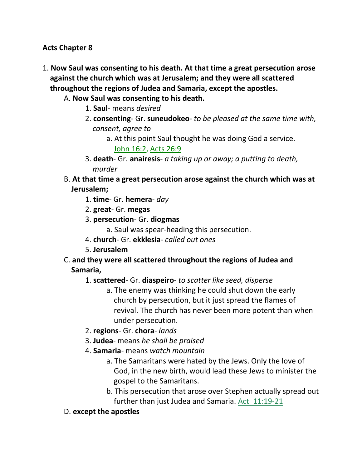**Acts Chapter 8**

- 1. **Now Saul was consenting to his death. At that time a great persecution arose against the church which was at Jerusalem; and they were all scattered throughout the regions of Judea and Samaria, except the apostles.** 
	- A. **Now Saul was consenting to his death.**
		- 1. **Saul** means *desired*
		- 2. **consenting** Gr. **suneudokeo** *to be pleased at the same time with, consent, agree to*
			- a. At this point Saul thought he was doing God a service. John 16:2, Acts 26:9
		- 3. **death** Gr. **anairesis** *a taking up or away; a putting to death, murder*
	- B. **At that time a great persecution arose against the church which was at Jerusalem;**
		- 1. **time** Gr. **hemera** *day*
		- 2. **great** Gr. **megas**
		- 3. **persecution** Gr. **diogmas**
			- a. Saul was spear-heading this persecution.
		- 4. **church** Gr. **ekklesia** *called out ones*
		- 5. **Jerusalem**
	- C. **and they were all scattered throughout the regions of Judea and Samaria,**
		- 1. **scattered** Gr. **diaspeiro** *to scatter like seed, disperse*
			- a. The enemy was thinking he could shut down the early church by persecution, but it just spread the flames of revival. The church has never been more potent than when under persecution.
		- 2. **regions** Gr. **chora** *lands*
		- 3. **Judea** means *he shall be praised*
		- 4. **Samaria** means *watch mountain*
			- a. The Samaritans were hated by the Jews. Only the love of God, in the new birth, would lead these Jews to minister the gospel to the Samaritans.
			- b. This persecution that arose over Stephen actually spread out further than just Judea and Samaria. Act\_11:19-21
	- D. **except the apostles**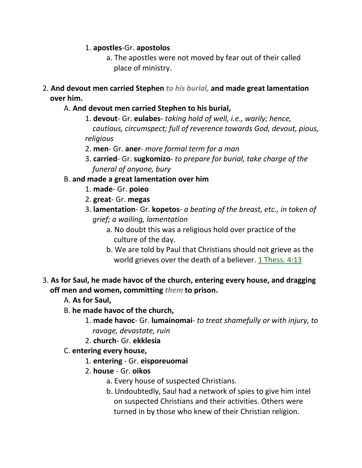#### 1. **apostles**-Gr. **apostolos**

- a. The apostles were not moved by fear out of their called place of ministry.
- 2. **And devout men carried Stephen** *to his burial,* **and made great lamentation over him.** 
	- A. **And devout men carried Stephen to his burial,**
		- 1. **devout** Gr. **eulabes** *taking hold of well, i.e., warily; hence, cautious, circumspect; full of reverence towards God, devout, pious, religious*
		- 2. **men** Gr. **aner** *more formal term for a man*
		- 3. **carried** Gr. **sugkomizo** *to prepare for burial, take charge of the funeral of anyone, bury*

### B. **and made a great lamentation over him**

- 1. **made** Gr. **poieo**
- 2. **great** Gr. **megas**
- 3. **lamentation** Gr. **kopetos** *a beating of the breast, etc., in token of grief; a wailing, lamentation*
	- a. No doubt this was a religious hold over practice of the culture of the day.
	- b. We are told by Paul that Christians should not grieve as the world grieves over the death of a believer. 1 Thess. 4:13
- 3. **As for Saul, he made havoc of the church, entering every house, and dragging off men and women, committing** *them* **to prison.** 
	- A. **As for Saul,**
	- B. **he made havoc of the church,**
		- 1. **made havoc** Gr. **lumainomai** *to treat shamefully or with injury, to ravage, devastate, ruin*
		- 2. **church** Gr. **ekklesia**
	- C. **entering every house,**
		- 1. **entering** Gr. **eisporeuomai**
		- 2. **house** Gr. **oikos**
			- a. Every house of suspected Christians.
			- b. Undoubtedly, Saul had a network of spies to give him intel on suspected Christians and their activities. Others were turned in by those who knew of their Christian religion.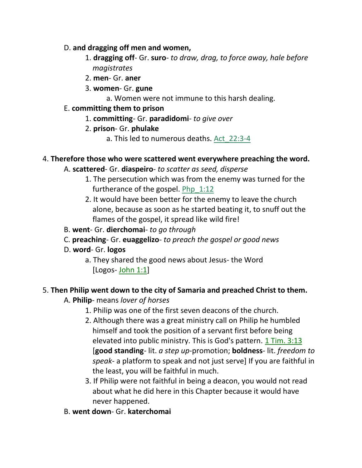#### D. **and dragging off men and women,**

- 1. **dragging off** Gr. **suro** *to draw, drag, to force away, hale before magistrates*
- 2. **men** Gr. **aner**
- 3. **women** Gr. **gune**
	- a. Women were not immune to this harsh dealing.
- E. **committing them to prison**
	- 1. **committing** Gr. **paradidomi** *to give over*
	- 2. **prison** Gr. **phulake**
		- a. This led to numerous deaths. Act\_22:3-4

### 4. **Therefore those who were scattered went everywhere preaching the word.**

### A. **scattered**- Gr. **diaspeiro**- *to scatter as seed, disperse*

- 1. The persecution which was from the enemy was turned for the furtherance of the gospel. Php 1:12
- 2. It would have been better for the enemy to leave the church alone, because as soon as he started beating it, to snuff out the flames of the gospel, it spread like wild fire!
- B. **went** Gr. **dierchomai** *to go through*
- C. **preaching** Gr. **euaggelizo** *to preach the gospel or good news*
- D. **word** Gr. **logos**
	- a. They shared the good news about Jesus- the Word [Logos- John 1:1]

## 5. **Then Philip went down to the city of Samaria and preached Christ to them.**

- A. **Philip** means *lover of horses*
	- 1. Philip was one of the first seven deacons of the church.
	- 2. Although there was a great ministry call on Philip he humbled himself and took the position of a servant first before being elevated into public ministry. This is God's pattern.  $1$  Tim.  $3:13$  [**good standing**- lit. *a step up*-promotion; **boldness**- lit. *freedom to speak*- a platform to speak and not just serve] If you are faithful in the least, you will be faithful in much.
	- 3. If Philip were not faithful in being a deacon, you would not read about what he did here in this Chapter because it would have never happened.
- B. **went down** Gr. **katerchomai**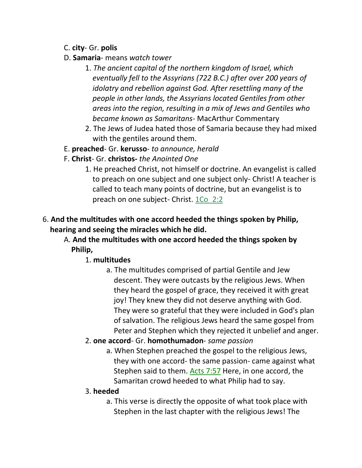### C. **city**- Gr. **polis**

- D. **Samaria** means *watch tower*
	- 1. *The ancient capital of the northern kingdom of Israel, which eventually fell to the Assyrians (722 B.C.) after over 200 years of idolatry and rebellion against God. After resettling many of the people in other lands, the Assyrians located Gentiles from other areas into the region, resulting in a mix of Jews and Gentiles who became known as Samaritans*- MacArthur Commentary
	- 2. The Jews of Judea hated those of Samaria because they had mixed with the gentiles around them.
- E. **preached** Gr. **kerusso** *to announce, herald*
- F. **Christ** Gr. **christos-** *the Anointed One*
	- 1. He preached Christ, not himself or doctrine. An evangelist is called to preach on one subject and one subject only- Christ! A teacher is called to teach many points of doctrine, but an evangelist is to preach on one subject- Christ. 1Co 2:2
- 6. **And the multitudes with one accord heeded the things spoken by Philip, hearing and seeing the miracles which he did.** 
	- A. **And the multitudes with one accord heeded the things spoken by Philip,**

### 1. **multitudes**

- a. The multitudes comprised of partial Gentile and Jew descent. They were outcasts by the religious Jews. When they heard the gospel of grace, they received it with great joy! They knew they did not deserve anything with God. They were so grateful that they were included in God's plan of salvation. The religious Jews heard the same gospel from Peter and Stephen which they rejected it unbelief and anger.
- 2. **one accord** Gr. **homothumadon** *same passion*
	- a. When Stephen preached the gospel to the religious Jews, they with one accord- the same passion- came against what Stephen said to them. Acts 7:57 Here, in one accord, the Samaritan crowd heeded to what Philip had to say.

#### 3. **heeded**

a. This verse is directly the opposite of what took place with Stephen in the last chapter with the religious Jews! The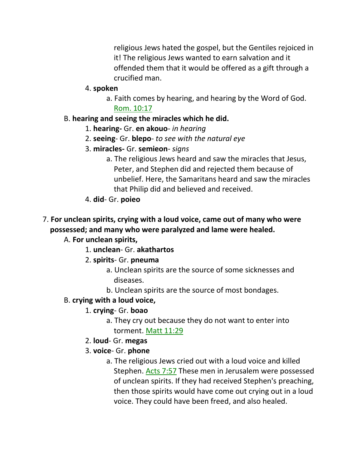religious Jews hated the gospel, but the Gentiles rejoiced in it! The religious Jews wanted to earn salvation and it offended them that it would be offered as a gift through a crucified man.

#### 4. **spoken**

a. Faith comes by hearing, and hearing by the Word of God. Rom. 10:17

### B. **hearing and seeing the miracles which he did.**

- 1. **hearing-** Gr. **en akouo** *in hearing*
- 2. **seeing** Gr. **blepo** *to see with the natural eye*
- 3. **miracles-** Gr. **semieon** *signs*
	- a. The religious Jews heard and saw the miracles that Jesus, Peter, and Stephen did and rejected them because of unbelief. Here, the Samaritans heard and saw the miracles that Philip did and believed and received.
- 4. **did** Gr. **poieo**

## 7. **For unclean spirits, crying with a loud voice, came out of many who were possessed; and many who were paralyzed and lame were healed.**

#### A. **For unclean spirits,**

- 1. **unclean** Gr. **akathartos**
- 2. **spirits** Gr. **pneuma**
	- a. Unclean spirits are the source of some sicknesses and diseases.
	- b. Unclean spirits are the source of most bondages.

#### B. **crying with a loud voice,**

#### 1. **crying**- Gr. **boao**

a. They cry out because they do not want to enter into torment. Matt 11:29

#### 2. **loud**- Gr. **megas**

### 3. **voice**- Gr. **phone**

a. The religious Jews cried out with a loud voice and killed Stephen. Acts 7:57 These men in Jerusalem were possessed of unclean spirits. If they had received Stephen's preaching, then those spirits would have come out crying out in a loud voice. They could have been freed, and also healed.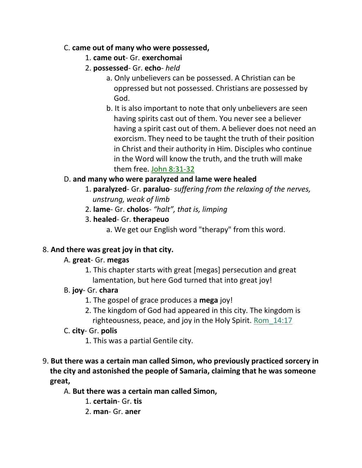#### C. **came out of many who were possessed,**

- 1. **came out** Gr. **exerchomai**
- 2. **possessed** Gr. **echo** *held*
	- a. Only unbelievers can be possessed. A Christian can be oppressed but not possessed. Christians are possessed by God.
	- b. It is also important to note that only unbelievers are seen having spirits cast out of them. You never see a believer having a spirit cast out of them. A believer does not need an exorcism. They need to be taught the truth of their position in Christ and their authority in Him. Disciples who continue in the Word will know the truth, and the truth will make them free. John 8:31-32

### D. **and many who were paralyzed and lame were healed**

- 1. **paralyzed** Gr. **paraluo** *suffering from the relaxing of the nerves, unstrung, weak of limb*
- 2. **lame** Gr. **cholos** *"halt", that is, limping*
- 3. **healed** Gr. **therapeuo**
	- a. We get our English word "therapy" from this word.

## 8. **And there was great joy in that city.**

### A. **great**- Gr. **megas**

- 1. This chapter starts with great [megas] persecution and great lamentation, but here God turned that into great joy!
- B. **joy** Gr. **chara**
	- 1. The gospel of grace produces a **mega** joy!
	- 2. The kingdom of God had appeared in this city. The kingdom is righteousness, peace, and joy in the Holy Spirit. Rom\_14:17

## C. **city**- Gr. **polis**

- 1. This was a partial Gentile city.
- 9. **But there was a certain man called Simon, who previously practiced sorcery in the city and astonished the people of Samaria, claiming that he was someone great,**
	- A. **But there was a certain man called Simon,**
		- 1. **certain** Gr. **tis**
		- 2. **man** Gr. **aner**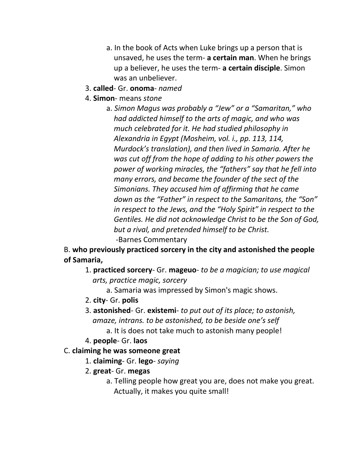a. In the book of Acts when Luke brings up a person that is unsaved, he uses the term- **a certain man**. When he brings up a believer, he uses the term- **a certain disciple**. Simon was an unbeliever.

#### 3. **called**- Gr. **onoma**- *named*

#### 4. **Simon**- means *stone*

a. *Simon Magus was probably a "Jew" or a "Samaritan," who had addicted himself to the arts of magic, and who was much celebrated for it. He had studied philosophy in Alexandria in Egypt (Mosheim, vol. i., pp. 113, 114, Murdock's translation), and then lived in Samaria. After he was cut off from the hope of adding to his other powers the power of working miracles, the "fathers" say that he fell into many errors, and became the founder of the sect of the Simonians. They accused him of affirming that he came down as the "Father" in respect to the Samaritans, the "Son" in respect to the Jews, and the "Holy Spirit" in respect to the Gentiles. He did not acknowledge Christ to be the Son of God, but a rival, and pretended himself to be Christ.* -Barnes Commentary

B. **who previously practiced sorcery in the city and astonished the people of Samaria,**

1. **practiced sorcery**- Gr. **mageuo**- *to be a magician; to use magical arts, practice magic, sorcery*

a. Samaria was impressed by Simon's magic shows.

- 2. **city** Gr. **polis**
- 3. **astonished** Gr. **existemi** *to put out of its place; to astonish, amaze, intrans. to be astonished, to be beside one's self* a. It is does not take much to astonish many people!
- 4. **people** Gr. **laos**

#### C. **claiming he was someone great**

1. **claiming**- Gr. **lego**- *saying*

#### 2. **great**- Gr. **megas**

a. Telling people how great you are, does not make you great. Actually, it makes you quite small!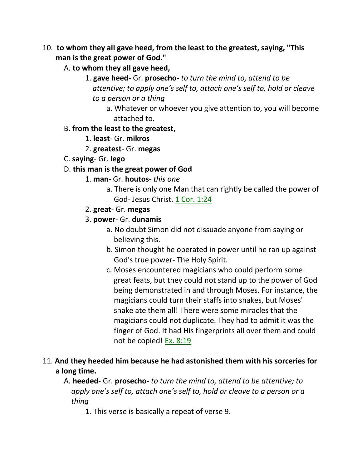- 10. **to whom they all gave heed, from the least to the greatest, saying, "This man is the great power of God."** 
	- A. **to whom they all gave heed,**
		- 1. **gave heed** Gr. **prosecho** *to turn the mind to, attend to be attentive; to apply one's self to, attach one's self to, hold or cleave to a person or a thing*
			- a. Whatever or whoever you give attention to, you will become attached to.

#### B. **from the least to the greatest,**

- 1. **least** Gr. **mikros**
- 2. **greatest** Gr. **megas**
- C. **saying** Gr. **lego**

#### D. **this man is the great power of God**

- 1. **man** Gr. **houtos** *this one*
	- a. There is only one Man that can rightly be called the power of God- Jesus Christ. 1 Cor. 1:24
- 2. **great** Gr. **megas**

#### 3. **power**- Gr. **dunamis**

- a. No doubt Simon did not dissuade anyone from saying or believing this.
- b. Simon thought he operated in power until he ran up against God's true power- The Holy Spirit.
- c. Moses encountered magicians who could perform some great feats, but they could not stand up to the power of God being demonstrated in and through Moses. For instance, the magicians could turn their staffs into snakes, but Moses' snake ate them all! There were some miracles that the magicians could not duplicate. They had to admit it was the finger of God. It had His fingerprints all over them and could not be copied! Ex. 8:19
- 11. **And they heeded him because he had astonished them with his sorceries for a long time.** 
	- A. **heeded** Gr. **prosecho** *to turn the mind to, attend to be attentive; to apply one's self to, attach one's self to, hold or cleave to a person or a thing*
		- 1. This verse is basically a repeat of verse 9.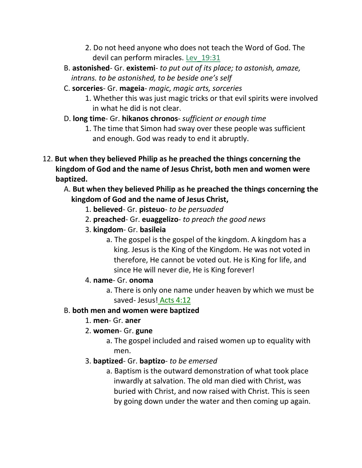- 2. Do not heed anyone who does not teach the Word of God. The devil can perform miracles. Lev 19:31
- B. **astonished** Gr. **existemi** *to put out of its place; to astonish, amaze, intrans. to be astonished, to be beside one's self*
- C. **sorceries** Gr. **mageia** *magic, magic arts, sorceries*
	- 1. Whether this was just magic tricks or that evil spirits were involved in what he did is not clear.
- D. **long time** Gr. **hikanos chronos** *sufficient or enough time*
	- 1. The time that Simon had sway over these people was sufficient and enough. God was ready to end it abruptly.
- 12. **But when they believed Philip as he preached the things concerning the kingdom of God and the name of Jesus Christ, both men and women were baptized.**
	- A. **But when they believed Philip as he preached the things concerning the kingdom of God and the name of Jesus Christ,**
		- 1. **believed** Gr. **pisteuo** *to be persuaded*
		- 2. **preached** Gr. **euaggelizo** *to preach the good news*
		- 3. **kingdom** Gr. **basileia**
			- a. The gospel is the gospel of the kingdom. A kingdom has a king. Jesus is the King of the Kingdom. He was not voted in therefore, He cannot be voted out. He is King for life, and since He will never die, He is King forever!
		- 4. **name** Gr. **onoma**
			- a. There is only one name under heaven by which we must be saved- Jesus! Acts 4:12

## B. **both men and women were baptized**

- 1. **men** Gr. **aner**
- 2. **women** Gr. **gune**
	- a. The gospel included and raised women up to equality with men.
- 3. **baptized** Gr. **baptizo** *to be emersed*
	- a. Baptism is the outward demonstration of what took place inwardly at salvation. The old man died with Christ, was buried with Christ, and now raised with Christ. This is seen by going down under the water and then coming up again.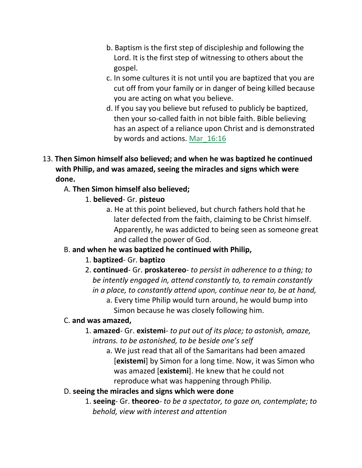- b. Baptism is the first step of discipleship and following the Lord. It is the first step of witnessing to others about the gospel.
- c. In some cultures it is not until you are baptized that you are cut off from your family or in danger of being killed because you are acting on what you believe.
- d. If you say you believe but refused to publicly be baptized, then your so-called faith in not bible faith. Bible believing has an aspect of a reliance upon Christ and is demonstrated by words and actions. Mar\_16:16
- 13. **Then Simon himself also believed; and when he was baptized he continued with Philip, and was amazed, seeing the miracles and signs which were done.**

### A. **Then Simon himself also believed;**

- 1. **believed** Gr. **pisteuo**
	- a. He at this point believed, but church fathers hold that he later defected from the faith, claiming to be Christ himself. Apparently, he was addicted to being seen as someone great and called the power of God.

## B. **and when he was baptized he continued with Philip,**

## 1. **baptized**- Gr. **baptizo**

- 2. **continued** Gr. **proskatereo** *to persist in adherence to a thing; to be intently engaged in, attend constantly to, to remain constantly in a place, to constantly attend upon, continue near to, be at hand,*
	- a. Every time Philip would turn around, he would bump into Simon because he was closely following him.

## C. **and was amazed,**

- 1. **amazed** Gr. **existemi** *to put out of its place; to astonish, amaze, intrans. to be astonished, to be beside one's self*
	- a. We just read that all of the Samaritans had been amazed [**existemi**] by Simon for a long time. Now, it was Simon who was amazed [**existemi**]. He knew that he could not reproduce what was happening through Philip.

## D. **seeing the miracles and signs which were done**

1. **seeing**- Gr. **theoreo**- *to be a spectator, to gaze on, contemplate; to behold, view with interest and attention*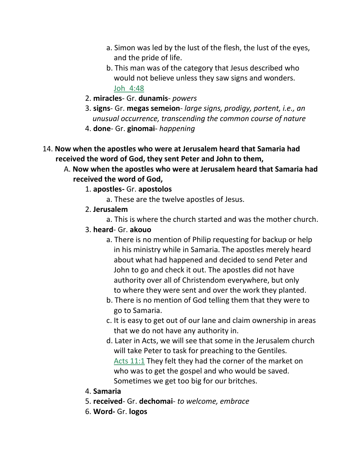- a. Simon was led by the lust of the flesh, the lust of the eyes, and the pride of life.
- b. This man was of the category that Jesus described who would not believe unless they saw signs and wonders. Joh\_4:48
- 2. **miracles** Gr. **dunamis** *powers*
- 3. **signs** Gr. **megas semeion** *large signs, prodigy, portent, i.e., an unusual occurrence, transcending the common course of nature*
- 4. **done** Gr. **ginomai** *happening*
- 14. **Now when the apostles who were at Jerusalem heard that Samaria had received the word of God, they sent Peter and John to them,** 
	- A. **Now when the apostles who were at Jerusalem heard that Samaria had received the word of God,**
		- 1. **apostles-** Gr. **apostolos**
			- a. These are the twelve apostles of Jesus.
		- 2. **Jerusalem**
			- a. This is where the church started and was the mother church.
		- 3. **heard** Gr. **akouo**
			- a. There is no mention of Philip requesting for backup or help in his ministry while in Samaria. The apostles merely heard about what had happened and decided to send Peter and John to go and check it out. The apostles did not have authority over all of Christendom everywhere, but only to where they were sent and over the work they planted.
			- b. There is no mention of God telling them that they were to go to Samaria.
			- c. It is easy to get out of our lane and claim ownership in areas that we do not have any authority in.
			- d. Later in Acts, we will see that some in the Jerusalem church will take Peter to task for preaching to the Gentiles. Acts 11:1 They felt they had the corner of the market on who was to get the gospel and who would be saved. Sometimes we get too big for our britches.
		- 4. **Samaria**
		- 5. **received** Gr. **dechomai** *to welcome, embrace*
		- 6. **Word-** Gr. **logos**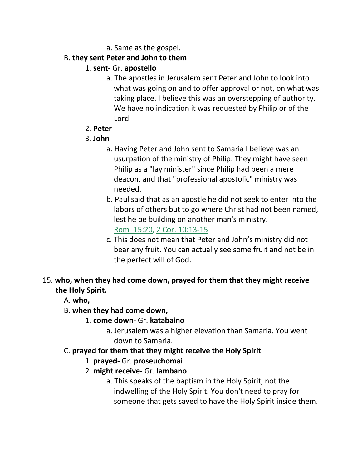a. Same as the gospel.

### B. **they sent Peter and John to them**

- 1. **sent** Gr. **apostello**
	- a. The apostles in Jerusalem sent Peter and John to look into what was going on and to offer approval or not, on what was taking place. I believe this was an overstepping of authority. We have no indication it was requested by Philip or of the Lord.
- 2. **Peter**
- 3. **John**
	- a. Having Peter and John sent to Samaria I believe was an usurpation of the ministry of Philip. They might have seen Philip as a "lay minister" since Philip had been a mere deacon, and that "professional apostolic" ministry was needed.
	- b. Paul said that as an apostle he did not seek to enter into the labors of others but to go where Christ had not been named, lest he be building on another man's ministry.

Rom\_15:20, 2 Cor. 10:13-15

c. This does not mean that Peter and John's ministry did not bear any fruit. You can actually see some fruit and not be in the perfect will of God.

## 15. **who, when they had come down, prayed for them that they might receive the Holy Spirit.**

- A. **who,**
- B. **when they had come down,**
	- 1. **come down** Gr. **katabaino**
		- a. Jerusalem was a higher elevation than Samaria. You went down to Samaria.
- C. **prayed for them that they might receive the Holy Spirit**
	- 1. **prayed** Gr. **proseuchomai**
	- 2. **might receive** Gr. **lambano**
		- a. This speaks of the baptism in the Holy Spirit, not the indwelling of the Holy Spirit. You don't need to pray for someone that gets saved to have the Holy Spirit inside them.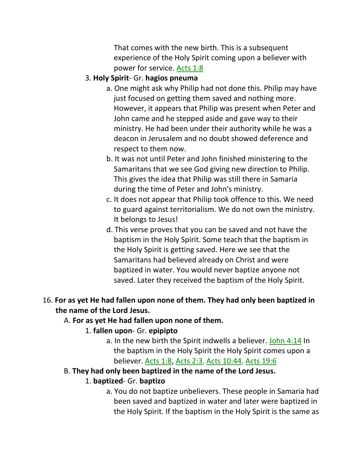That comes with the new birth. This is a subsequent experience of the Holy Spirit coming upon a believer with power for service. Acts 1:8

#### 3. **Holy Spirit**- Gr. **hagios pneuma**

- a. One might ask why Philip had not done this. Philip may have just focused on getting them saved and nothing more. However, it appears that Philip was present when Peter and John came and he stepped aside and gave way to their ministry. He had been under their authority while he was a deacon in Jerusalem and no doubt showed deference and respect to them now.
- b. It was not until Peter and John finished ministering to the Samaritans that we see God giving new direction to Philip. This gives the idea that Philip was still there in Samaria during the time of Peter and John's ministry.
- c. It does not appear that Philip took offence to this. We need to guard against territorialism. We do not own the ministry. It belongs to Jesus!
- d. This verse proves that you can be saved and not have the baptism in the Holy Spirit. Some teach that the baptism in the Holy Spirit is getting saved. Here we see that the Samaritans had believed already on Christ and were baptized in water. You would never baptize anyone not saved. Later they received the baptism of the Holy Spirit.

### 16. **For as yet He had fallen upon none of them. They had only been baptized in the name of the Lord Jesus.**

#### A. **For as yet He had fallen upon none of them.**

#### 1. **fallen upon**- Gr. **epipipto**

a. In the new birth the Spirit indwells a believer. John 4:14 In the baptism in the Holy Spirit the Holy Spirit comes upon a believer. Acts 1:8, Acts 2:3, Acts 10:44, Acts 19:6

#### B. **They had only been baptized in the name of the Lord Jesus.**

### 1. **baptized**- Gr. **baptizo**

a. You do not baptize unbelievers. These people in Samaria had been saved and baptized in water and later were baptized in the Holy Spirit. If the baptism in the Holy Spirit is the same as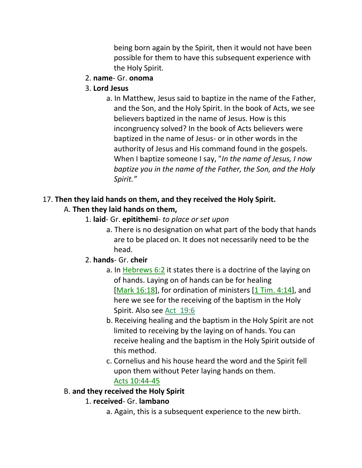being born again by the Spirit, then it would not have been possible for them to have this subsequent experience with the Holy Spirit.

2. **name**- Gr. **onoma**

### 3. **Lord Jesus**

a. In Matthew, Jesus said to baptize in the name of the Father, and the Son, and the Holy Spirit. In the book of Acts, we see believers baptized in the name of Jesus. How is this incongruency solved? In the book of Acts believers were baptized in the name of Jesus- or in other words in the authority of Jesus and His command found in the gospels. When I baptize someone I say, "*In the name of Jesus, I now baptize you in the name of the Father, the Son, and the Holy Spirit."*

## 17. **Then they laid hands on them, and they received the Holy Spirit.**

## A. **Then they laid hands on them,**

- 1. **laid** Gr. **epitithemi** *to place or set upon*
	- a. There is no designation on what part of the body that hands are to be placed on. It does not necessarily need to be the head.

## 2. **hands**- Gr. **cheir**

- a. In Hebrews 6:2 it states there is a doctrine of the laying on of hands. Laying on of hands can be for healing [Mark 16:18], for ordination of ministers [1 Tim. 4:14], and here we see for the receiving of the baptism in the Holy Spirit. Also see Act\_19:6
- b. Receiving healing and the baptism in the Holy Spirit are not limited to receiving by the laying on of hands. You can receive healing and the baptism in the Holy Spirit outside of this method.
- c. Cornelius and his house heard the word and the Spirit fell upon them without Peter laying hands on them. Acts 10:44-45

## B. **and they received the Holy Spirit**

## 1. **received**- Gr. **lambano**

a. Again, this is a subsequent experience to the new birth.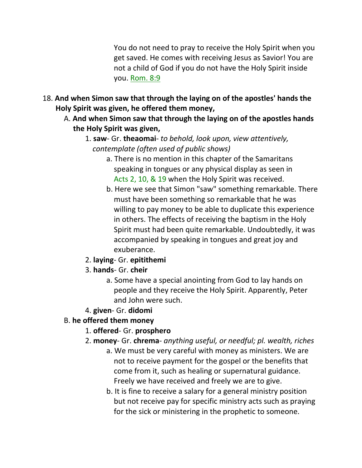You do not need to pray to receive the Holy Spirit when you get saved. He comes with receiving Jesus as Savior! You are not a child of God if you do not have the Holy Spirit inside you. Rom. 8:9

- 18. **And when Simon saw that through the laying on of the apostles' hands the Holy Spirit was given, he offered them money,** 
	- A. **And when Simon saw that through the laying on of the apostles hands the Holy Spirit was given,**
		- 1. **saw** Gr. **theaomai** *to behold, look upon, view attentively, contemplate (often used of public shows)*
			- a. There is no mention in this chapter of the Samaritans speaking in tongues or any physical display as seen in Acts 2, 10, & 19 when the Holy Spirit was received.
			- b. Here we see that Simon "saw" something remarkable. There must have been something so remarkable that he was willing to pay money to be able to duplicate this experience in others. The effects of receiving the baptism in the Holy Spirit must had been quite remarkable. Undoubtedly, it was accompanied by speaking in tongues and great joy and exuberance.
		- 2. **laying** Gr. **epitithemi**
		- 3. **hands** Gr. **cheir**
			- a. Some have a special anointing from God to lay hands on people and they receive the Holy Spirit. Apparently, Peter and John were such.
		- 4. **given** Gr. **didomi**

### B. **he offered them money**

- 1. **offered** Gr. **prosphero**
- 2. **money** Gr. **chrema** *anything useful, or needful; pl. wealth, riches*
	- a. We must be very careful with money as ministers. We are not to receive payment for the gospel or the benefits that come from it, such as healing or supernatural guidance. Freely we have received and freely we are to give.
		- b. It is fine to receive a salary for a general ministry position but not receive pay for specific ministry acts such as praying for the sick or ministering in the prophetic to someone.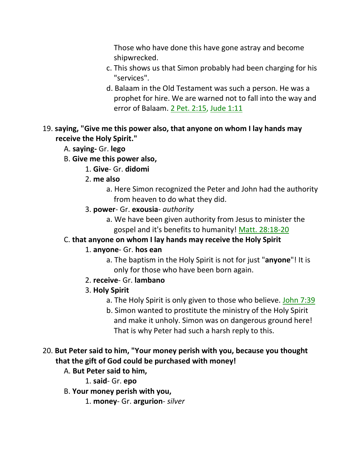Those who have done this have gone astray and become shipwrecked.

- c. This shows us that Simon probably had been charging for his "services".
- d. Balaam in the Old Testament was such a person. He was a prophet for hire. We are warned not to fall into the way and error of Balaam. 2 Pet. 2:15, Jude 1:11
- 19. **saying, "Give me this power also, that anyone on whom I lay hands may receive the Holy Spirit."** 
	- A. **saying-** Gr. **lego**
	- B. **Give me this power also,**
		- 1. **Give** Gr. **didomi**
		- 2. **me also**
			- a. Here Simon recognized the Peter and John had the authority from heaven to do what they did.
		- 3. **power** Gr. **exousia** *authority*
			- a. We have been given authority from Jesus to minister the gospel and it's benefits to humanity! Matt. 28:18-20

### C. **that anyone on whom I lay hands may receive the Holy Spirit**

#### 1. **anyone**- Gr. **hos ean**

- a. The baptism in the Holy Spirit is not for just "**anyone**"! It is only for those who have been born again.
- 2. **receive** Gr. **lambano**
- 3. **Holy Spirit**
	- a. The Holy Spirit is only given to those who believe. John 7:39
	- b. Simon wanted to prostitute the ministry of the Holy Spirit and make it unholy. Simon was on dangerous ground here! That is why Peter had such a harsh reply to this.

## 20. **But Peter said to him, "Your money perish with you, because you thought that the gift of God could be purchased with money!**

- A. **But Peter said to him,**
	- 1. **said** Gr. **epo**
- B. **Your money perish with you,**
	- 1. **money** Gr. **argurion** *silver*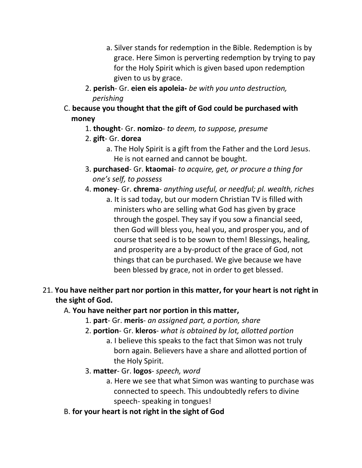- a. Silver stands for redemption in the Bible. Redemption is by grace. Here Simon is perverting redemption by trying to pay for the Holy Spirit which is given based upon redemption given to us by grace.
- 2. **perish** Gr. **eien eis apoleia-** *be with you unto destruction, perishing*
- C. **because you thought that the gift of God could be purchased with money**
	- 1. **thought** Gr. **nomizo** *to deem, to suppose, presume*
	- 2. **gift** Gr. **dorea**
		- a. The Holy Spirit is a gift from the Father and the Lord Jesus. He is not earned and cannot be bought.
	- 3. **purchased** Gr. **ktaomai** *to acquire, get, or procure a thing for one's self, to possess*
	- 4. **money** Gr. **chrema** *anything useful, or needful; pl. wealth, riches*
		- a. It is sad today, but our modern Christian TV is filled with ministers who are selling what God has given by grace through the gospel. They say if you sow a financial seed, then God will bless you, heal you, and prosper you, and of course that seed is to be sown to them! Blessings, healing, and prosperity are a by-product of the grace of God, not things that can be purchased. We give because we have been blessed by grace, not in order to get blessed.
- 21. **You have neither part nor portion in this matter, for your heart is not right in the sight of God.** 
	- A. **You have neither part nor portion in this matter,**
		- 1. **part** Gr. **meris** *an assigned part, a portion, share*
		- 2. **portion** Gr. **kleros** *what is obtained by lot, allotted portion*
			- a. I believe this speaks to the fact that Simon was not truly born again. Believers have a share and allotted portion of the Holy Spirit.
		- 3. **matter** Gr. **logos** *speech, word*
			- a. Here we see that what Simon was wanting to purchase was connected to speech. This undoubtedly refers to divine speech- speaking in tongues!
	- B. **for your heart is not right in the sight of God**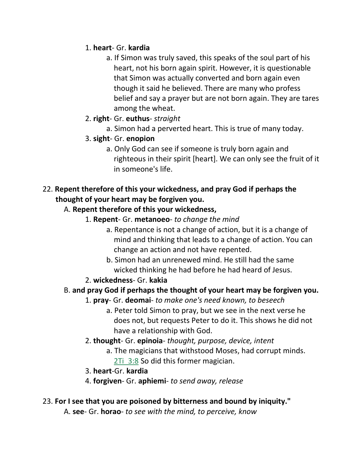### 1. **heart**- Gr. **kardia**

a. If Simon was truly saved, this speaks of the soul part of his heart, not his born again spirit. However, it is questionable that Simon was actually converted and born again even though it said he believed. There are many who profess belief and say a prayer but are not born again. They are tares among the wheat.

## 2. **right**- Gr. **euthus**- *straight*

a. Simon had a perverted heart. This is true of many today.

### 3. **sight**- Gr. **enopion**

a. Only God can see if someone is truly born again and righteous in their spirit [heart]. We can only see the fruit of it in someone's life.

### 22. **Repent therefore of this your wickedness, and pray God if perhaps the thought of your heart may be forgiven you.**

## A. **Repent therefore of this your wickedness,**

- 1. **Repent** Gr. **metanoeo** *to change the mind*
	- a. Repentance is not a change of action, but it is a change of mind and thinking that leads to a change of action. You can change an action and not have repented.
	- b. Simon had an unrenewed mind. He still had the same wicked thinking he had before he had heard of Jesus.
- 2. **wickedness** Gr. **kakia**

## B. **and pray God if perhaps the thought of your heart may be forgiven you.**

- 1. **pray** Gr. **deomai** *to make one's need known, to beseech*
	- a. Peter told Simon to pray, but we see in the next verse he does not, but requests Peter to do it. This shows he did not have a relationship with God.
- 2. **thought** Gr. **epinoia** *thought, purpose, device, intent*
	- a. The magicians that withstood Moses, had corrupt minds.
		- 2Ti 3:8 So did this former magician.

## 3. **heart**-Gr. **kardia**

4. **forgiven**- Gr. **aphiemi**- *to send away, release*

## 23. **For I see that you are poisoned by bitterness and bound by iniquity."**

A. **see**- Gr. **horao**- *to see with the mind, to perceive, know*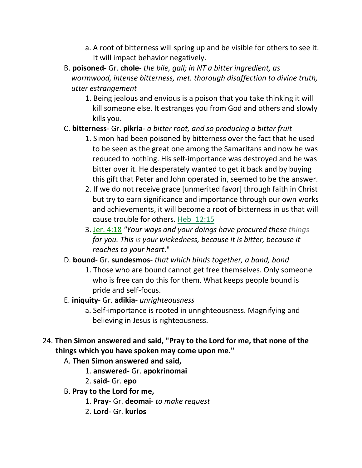- a. A root of bitterness will spring up and be visible for others to see it. It will impact behavior negatively.
- B. **poisoned** Gr. **chole** *the bile, gall; in NT a bitter ingredient, as wormwood, intense bitterness, met. thorough disaffection to divine truth, utter estrangement*
	- 1. Being jealous and envious is a poison that you take thinking it will kill someone else. It estranges you from God and others and slowly kills you.

### C. **bitterness**- Gr. **pikria**- *a bitter root, and so producing a bitter fruit*

- 1. Simon had been poisoned by bitterness over the fact that he used to be seen as the great one among the Samaritans and now he was reduced to nothing. His self-importance was destroyed and he was bitter over it. He desperately wanted to get it back and by buying this gift that Peter and John operated in, seemed to be the answer.
- 2. If we do not receive grace [unmerited favor] through faith in Christ but try to earn significance and importance through our own works and achievements, it will become a root of bitterness in us that will cause trouble for others. Heb\_12:15
- 3. Jer. 4:18 *"Your ways and your doings have procured these things for you. This is your wickedness, because it is bitter, because it reaches to your heart*."

## D. **bound**- Gr. **sundesmos**- *that which binds together, a band, bond*

1. Those who are bound cannot get free themselves. Only someone who is free can do this for them. What keeps people bound is pride and self-focus.

### E. **iniquity**- Gr. **adikia**- *unrighteousness*

- a. Self-importance is rooted in unrighteousness. Magnifying and believing in Jesus is righteousness.
- 24. **Then Simon answered and said, "Pray to the Lord for me, that none of the things which you have spoken may come upon me."** 
	- A. **Then Simon answered and said,**
		- 1. **answered** Gr. **apokrinomai**
		- 2. **said** Gr. **epo**

## B. **Pray to the Lord for me,**

- 1. **Pray** Gr. **deomai** *to make request*
- 2. **Lord** Gr. **kurios**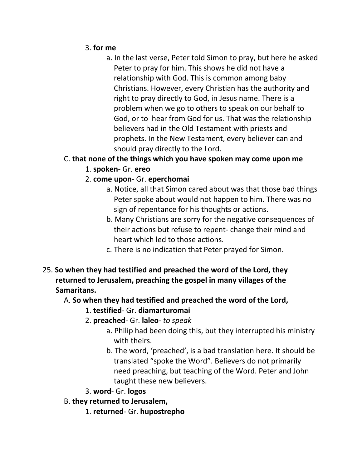- 3. **for me**
	- a. In the last verse, Peter told Simon to pray, but here he asked Peter to pray for him. This shows he did not have a relationship with God. This is common among baby Christians. However, every Christian has the authority and right to pray directly to God, in Jesus name. There is a problem when we go to others to speak on our behalf to God, or to hear from God for us. That was the relationship believers had in the Old Testament with priests and prophets. In the New Testament, every believer can and should pray directly to the Lord.

## C. **that none of the things which you have spoken may come upon me**

- 1. **spoken** Gr. **ereo**
- 2. **come upon** Gr. **eperchomai**
	- a. Notice, all that Simon cared about was that those bad things Peter spoke about would not happen to him. There was no sign of repentance for his thoughts or actions.
	- b. Many Christians are sorry for the negative consequences of their actions but refuse to repent- change their mind and heart which led to those actions.
	- c. There is no indication that Peter prayed for Simon.
- 25. **So when they had testified and preached the word of the Lord, they returned to Jerusalem, preaching the gospel in many villages of the Samaritans.**

## A. **So when they had testified and preached the word of the Lord,**

### 1. **testified**- Gr. **diamarturomai**

- 2. **preached** Gr. **laleo** *to speak*
	- a. Philip had been doing this, but they interrupted his ministry with theirs.
	- b. The word, 'preached', is a bad translation here. It should be translated "spoke the Word". Believers do not primarily need preaching, but teaching of the Word. Peter and John taught these new believers.
- 3. **word** Gr. **logos**

## B. **they returned to Jerusalem,**

1. **returned**- Gr. **hupostrepho**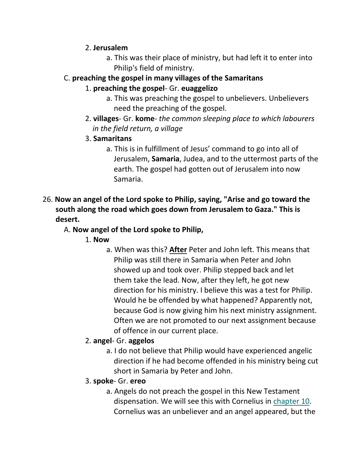### 2. **Jerusalem**

a. This was their place of ministry, but had left it to enter into Philip's field of ministry.

### C. **preaching the gospel in many villages of the Samaritans**

### 1. **preaching the gospel**- Gr. **euaggelizo**

- a. This was preaching the gospel to unbelievers. Unbelievers need the preaching of the gospel.
- 2. **villages** Gr. **kome** *the common sleeping place to which labourers in the field return, a village*

### 3. **Samaritans**

- a. This is in fulfillment of Jesus' command to go into all of Jerusalem, **Samaria**, Judea, and to the uttermost parts of the earth. The gospel had gotten out of Jerusalem into now Samaria.
- 26. **Now an angel of the Lord spoke to Philip, saying, "Arise and go toward the south along the road which goes down from Jerusalem to Gaza." This is desert.**

### A. **Now angel of the Lord spoke to Philip,**

- 1. **Now**
	- a. When was this? **After** Peter and John left. This means that Philip was still there in Samaria when Peter and John showed up and took over. Philip stepped back and let them take the lead. Now, after they left, he got new direction for his ministry. I believe this was a test for Philip. Would he be offended by what happened? Apparently not, because God is now giving him his next ministry assignment. Often we are not promoted to our next assignment because of offence in our current place.

### 2. **angel**- Gr. **aggelos**

- a. I do not believe that Philip would have experienced angelic direction if he had become offended in his ministry being cut short in Samaria by Peter and John.
- 3. **spoke** Gr. **ereo**
	- a. Angels do not preach the gospel in this New Testament dispensation. We will see this with Cornelius in chapter 10. Cornelius was an unbeliever and an angel appeared, but the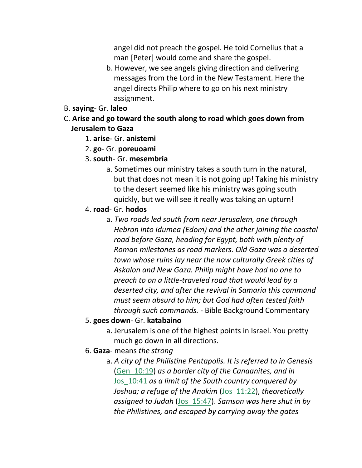angel did not preach the gospel. He told Cornelius that a man [Peter] would come and share the gospel.

- b. However, we see angels giving direction and delivering messages from the Lord in the New Testament. Here the angel directs Philip where to go on his next ministry assignment.
- B. **saying** Gr. **laleo**
- C. **Arise and go toward the south along to road which goes down from Jerusalem to Gaza**
	- 1. **arise** Gr. **anistemi**
	- 2. **go** Gr. **poreuoami**
	- 3. **south** Gr. **mesembria**
		- a. Sometimes our ministry takes a south turn in the natural, but that does not mean it is not going up! Taking his ministry to the desert seemed like his ministry was going south quickly, but we will see it really was taking an upturn!
	- 4. **road** Gr. **hodos**
		- a. *Two roads led south from near Jerusalem, one through Hebron into Idumea (Edom) and the other joining the coastal road before Gaza, heading for Egypt, both with plenty of Roman milestones as road markers. Old Gaza was a deserted town whose ruins lay near the now culturally Greek cities of Askalon and New Gaza. Philip might have had no one to preach to on a little-traveled road that would lead by a deserted city, and after the revival in Samaria this command must seem absurd to him; but God had often tested faith through such commands.* - Bible Background Commentary
	- 5. **goes down** Gr. **katabaino**
		- a. Jerusalem is one of the highest points in Israel. You pretty much go down in all directions.
	- 6. **Gaza** means *the strong*
		- a. *A city of the Philistine Pentapolis. It is referred to in Genesis* (Gen\_10:19) *as a border city of the Canaanites, and in* Jos\_10:41 *as a limit of the South country conquered by Joshua; a refuge of the Anakim* (Jos\_11:22), *theoretically assigned to Judah* (Jos\_15:47). *Samson was here shut in by the Philistines, and escaped by carrying away the gates*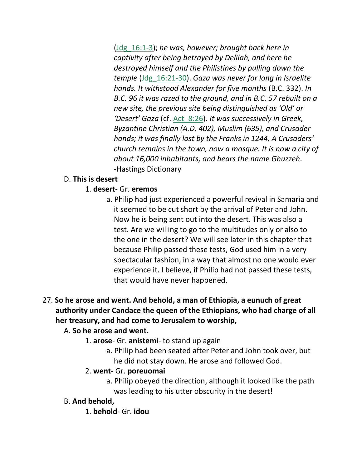(Jdg\_16:1-3); *he was, however; brought back here in captivity after being betrayed by Delilah, and here he destroyed himself and the Philistines by pulling down the temple* (Jdg\_16:21-30). *Gaza was never for long in Israelite hands. It withstood Alexander for five months* (B.C. 332). *In B.C. 96 it was razed to the ground, and in B.C. 57 rebuilt on a new site, the previous site being distinguished as 'Old' or 'Desert' Gaza* (cf. Act\_8:26). *It was successively in Greek, Byzantine Christian (A.D. 402), Muslim (635), and Crusader hands; it was finally lost by the Franks in 1244. A Crusaders' church remains in the town, now a mosque. It is now a city of about 16,000 inhabitants, and bears the nam*e *Ghuzzeh*. -Hastings Dictionary

#### D. **This is desert**

#### 1. **desert**- Gr. **eremos**

a. Philip had just experienced a powerful revival in Samaria and it seemed to be cut short by the arrival of Peter and John. Now he is being sent out into the desert. This was also a test. Are we willing to go to the multitudes only or also to the one in the desert? We will see later in this chapter that because Philip passed these tests, God used him in a very spectacular fashion, in a way that almost no one would ever experience it. I believe, if Philip had not passed these tests, that would have never happened.

## 27. **So he arose and went. And behold, a man of Ethiopia, a eunuch of great authority under Candace the queen of the Ethiopians, who had charge of all her treasury, and had come to Jerusalem to worship,**

#### A. **So he arose and went.**

### 1. **arose**- Gr. **anistemi**- to stand up again

a. Philip had been seated after Peter and John took over, but he did not stay down. He arose and followed God.

#### 2. **went**- Gr. **poreuomai**

a. Philip obeyed the direction, although it looked like the path was leading to his utter obscurity in the desert!

### B. **And behold,**

1. **behold**- Gr. **idou**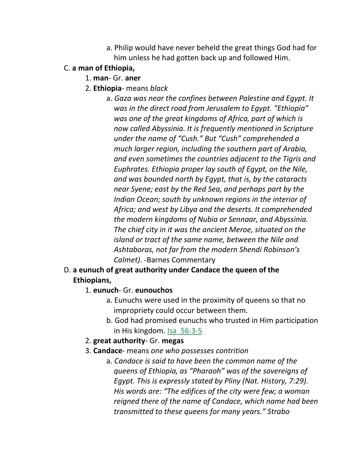a. Philip would have never beheld the great things God had for him unless he had gotten back up and followed Him.

### C. **a man of Ethiopia,**

- 1. **man** Gr. **aner**
- 2. **Ethiopia** means *black*
	- a. *Gaza was near the confines between Palestine and Egypt. It was in the direct road from Jerusalem to Egypt. "Ethiopia" was one of the great kingdoms of Africa, part of which is now called Abyssinia. It is frequently mentioned in Scripture under the name of "Cush." But "Cush" comprehended a much larger region, including the southern part of Arabia, and even sometimes the countries adjacent to the Tigris and Euphrates. Ethiopia proper lay south of Egypt, on the Nile, and was bounded north by Egypt, that is, by the cataracts near Syene; east by the Red Sea, and perhaps part by the Indian Ocean; south by unknown regions in the interior of Africa; and west by Libya and the deserts. It comprehended the modern kingdoms of Nubia or Sennaar, and Abyssinia. The chief city in it was the ancient Meroe, situated on the island or tract of the same name, between the Nile and Ashtaboras, not far from the modern Shendi Robinson's Calmet)*. -Barnes Commentary

## D. **a eunuch of great authority under Candace the queen of the Ethiopians,**

### 1. **eunuch**- Gr. **eunouchos**

- a. Eunuchs were used in the proximity of queens so that no impropriety could occur between them.
- b. God had promised eunuchs who trusted in Him participation in His kingdom. Isa\_56:3-5

### 2. **great authority**- Gr. **megas**

- 3. **Candace** means *one who possesses contrition*
	- a. *Candace is said to have been the common name of the queens of Ethiopia, as "Pharaoh" was of the sovereigns of Egypt. This is expressly stated by Pliny (Nat. History, 7:29). His words are: "The edifices of the city were few; a woman reigned there of the name of Candace, which name had been transmitted to these queens for many years." Strabo*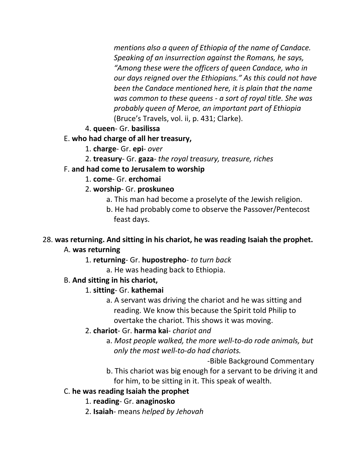*mentions also a queen of Ethiopia of the name of Candace. Speaking of an insurrection against the Romans, he says, "Among these were the officers of queen Candace, who in our days reigned over the Ethiopians." As this could not have been the Candace mentioned here, it is plain that the name was common to these queens - a sort of royal title. She was probably queen of Meroe, an important part of Ethiopia* (Bruce's Travels, vol. ii, p. 431; Clarke).

4. **queen**- Gr. **basilissa**

### E. **who had charge of all her treasury,**

- 1. **charge** Gr. **epi** *over*
- 2. **treasury** Gr. **gaza** *the royal treasury, treasure, riches*

### F. **and had come to Jerusalem to worship**

- 1. **come** Gr. **erchomai**
- 2. **worship** Gr. **proskuneo**
	- a. This man had become a proselyte of the Jewish religion.
	- b. He had probably come to observe the Passover/Pentecost feast days.

### 28. **was returning. And sitting in his chariot, he was reading Isaiah the prophet.**

### A. **was returning**

- 1. **returning** Gr. **hupostrepho** *to turn back*
	- a. He was heading back to Ethiopia.

### B. **And sitting in his chariot,**

### 1. **sitting**- Gr. **kathemai**

a. A servant was driving the chariot and he was sitting and reading. We know this because the Spirit told Philip to overtake the chariot. This shows it was moving.

### 2. **chariot**- Gr. **harma kai**- *chariot and*

a. *Most people walked, the more well-to-do rode animals, but only the most well-to-do had chariots.*

-Bible Background Commentary

b. This chariot was big enough for a servant to be driving it and for him, to be sitting in it. This speak of wealth.

### C. **he was reading Isaiah the prophet**

## 1. **reading**- Gr. **anaginosko**

2. **Isaiah**- means *helped by Jehovah*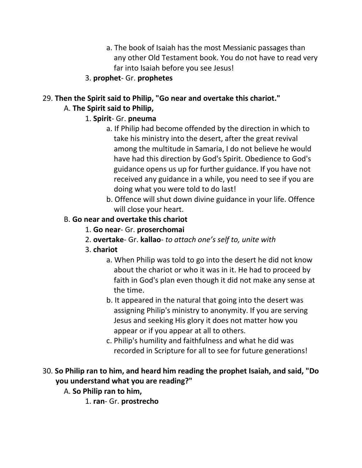- a. The book of Isaiah has the most Messianic passages than any other Old Testament book. You do not have to read very far into Isaiah before you see Jesus!
- 3. **prophet** Gr. **prophetes**

#### 29. **Then the Spirit said to Philip, "Go near and overtake this chariot."**  A. **The Spirit said to Philip,**

### 1. **Spirit**- Gr. **pneuma**

- a. If Philip had become offended by the direction in which to take his ministry into the desert, after the great revival among the multitude in Samaria, I do not believe he would have had this direction by God's Spirit. Obedience to God's guidance opens us up for further guidance. If you have not received any guidance in a while, you need to see if you are doing what you were told to do last!
- b. Offence will shut down divine guidance in your life. Offence will close your heart.

#### B. **Go near and overtake this chariot**

- 1. **Go near** Gr. **proserchomai**
- 2. **overtake** Gr. **kallao** *to attach one's self to, unite with*
- 3. **chariot**
	- a. When Philip was told to go into the desert he did not know about the chariot or who it was in it. He had to proceed by faith in God's plan even though it did not make any sense at the time.
	- b. It appeared in the natural that going into the desert was assigning Philip's ministry to anonymity. If you are serving Jesus and seeking His glory it does not matter how you appear or if you appear at all to others.
	- c. Philip's humility and faithfulness and what he did was recorded in Scripture for all to see for future generations!

## 30. **So Philip ran to him, and heard him reading the prophet Isaiah, and said, "Do you understand what you are reading?"**

- A. **So Philip ran to him,**
	- 1. **ran** Gr. **prostrecho**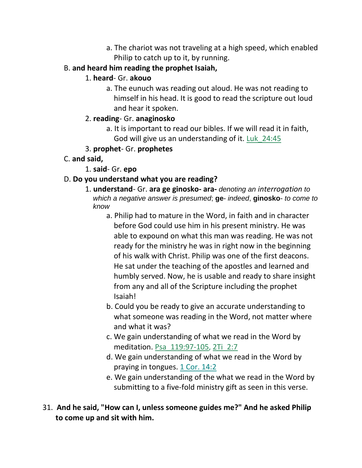a. The chariot was not traveling at a high speed, which enabled Philip to catch up to it, by running.

### B. **and heard him reading the prophet Isaiah,**

### 1. **heard**- Gr. **akouo**

a. The eunuch was reading out aloud. He was not reading to himself in his head. It is good to read the scripture out loud and hear it spoken.

### 2. **reading**- Gr. **anaginosko**

a. It is important to read our bibles. If we will read it in faith, God will give us an understanding of it. Luk\_24:45

### 3. **prophet**- Gr. **prophetes**

C. **and said,**

### 1. **said**- Gr. **epo**

### D. **Do you understand what you are reading?**

- 1. **understand** Gr. **ara ge ginosko- ara-** *denoting an interrogation to which a negative answer is presumed*; **ge**- *indeed*, **ginosko**- *to come to know*
	- a. Philip had to mature in the Word, in faith and in character before God could use him in his present ministry. He was able to expound on what this man was reading. He was not ready for the ministry he was in right now in the beginning of his walk with Christ. Philip was one of the first deacons. He sat under the teaching of the apostles and learned and humbly served. Now, he is usable and ready to share insight from any and all of the Scripture including the prophet Isaiah!
	- b. Could you be ready to give an accurate understanding to what someone was reading in the Word, not matter where and what it was?
	- c. We gain understanding of what we read in the Word by meditation. Psa\_119:97-105, 2Ti\_2:7
	- d. We gain understanding of what we read in the Word by praying in tongues. 1 Cor. 14:2
	- e. We gain understanding of the what we read in the Word by submitting to a five-fold ministry gift as seen in this verse.
- 31. **And he said, "How can I, unless someone guides me?" And he asked Philip to come up and sit with him.**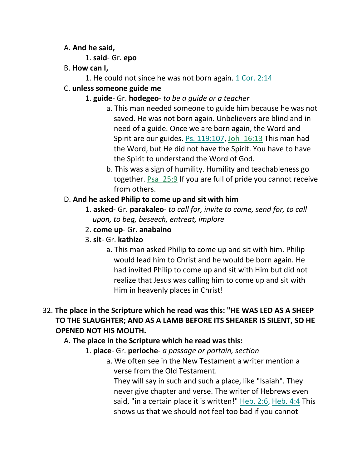#### A. **And he said,**

- 1. **said** Gr. **epo**
- B. **How can I,**
	- 1. He could not since he was not born again. 1 Cor. 2:14

### C. **unless someone guide me**

- 1. **guide** Gr. **hodegeo** *to be a guide or a teacher*
	- a. This man needed someone to guide him because he was not saved. He was not born again. Unbelievers are blind and in need of a guide. Once we are born again, the Word and Spirit are our guides. Ps. 119:107, Joh 16:13 This man had the Word, but He did not have the Spirit. You have to have the Spirit to understand the Word of God.
	- b. This was a sign of humility. Humility and teachableness go together. Psa\_25:9 If you are full of pride you cannot receive from others.

## D. **And he asked Philip to come up and sit with him**

- 1. **asked** Gr. **parakaleo** *to call for, invite to come, send for, to call upon, to beg, beseech, entreat, implore*
- 2. **come up** Gr. **anabaino**
- 3. **sit** Gr. **kathizo**
	- a. This man asked Philip to come up and sit with him. Philip would lead him to Christ and he would be born again. He had invited Philip to come up and sit with Him but did not realize that Jesus was calling him to come up and sit with Him in heavenly places in Christ!

## 32. **The place in the Scripture which he read was this: "HE WAS LED AS A SHEEP TO THE SLAUGHTER; AND AS A LAMB BEFORE ITS SHEARER IS SILENT, SO HE OPENED NOT HIS MOUTH.**

## A. **The place in the Scripture which he read was this:**

## 1. **place**- Gr. **perioche**- *a passage or portain, section*

a. We often see in the New Testament a writer mention a verse from the Old Testament.

 They will say in such and such a place, like "Isaiah". They never give chapter and verse. The writer of Hebrews even said, "in a certain place it is written!" Heb. 2:6, Heb. 4:4 This shows us that we should not feel too bad if you cannot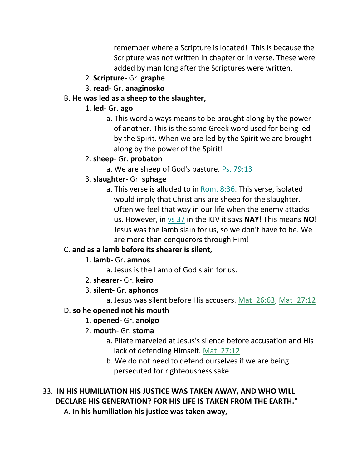remember where a Scripture is located! This is because the Scripture was not written in chapter or in verse. These were added by man long after the Scriptures were written.

- 2. **Scripture** Gr. **graphe**
- 3. **read** Gr. **anaginosko**

#### B. **He was led as a sheep to the slaughter,**

- 1. **led** Gr. **ago**
	- a. This word always means to be brought along by the power of another. This is the same Greek word used for being led by the Spirit. When we are led by the Spirit we are brought along by the power of the Spirit!
- 2. **sheep** Gr. **probaton**
	- a. We are sheep of God's pasture. Ps. 79:13
- 3. **slaughter** Gr. **sphage**
	- a. This verse is alluded to in Rom. 8:36. This verse, isolated would imply that Christians are sheep for the slaughter. Often we feel that way in our life when the enemy attacks us. However, in vs 37 in the KJV it says **NAY**! This means **NO**! Jesus was the lamb slain for us, so we don't have to be. We are more than conquerors through Him!

#### C. **and as a lamb before its shearer is silent,**

- 1. **lamb** Gr. **amnos**
	- a. Jesus is the Lamb of God slain for us.
- 2. **shearer** Gr. **keiro**
- 3. **silent-** Gr. **aphonos**

a. Jesus was silent before His accusers. Mat\_26:63, Mat\_27:12

D. **so he opened not his mouth**

#### 1. **opened**- Gr. **anoigo**

- 2. **mouth** Gr. **stoma**
	- a. Pilate marveled at Jesus's silence before accusation and His lack of defending Himself. Mat\_27:12
	- b. We do not need to defend ourselves if we are being persecuted for righteousness sake.

## 33. **IN HIS HUMILIATION HIS JUSTICE WAS TAKEN AWAY, AND WHO WILL DECLARE HIS GENERATION? FOR HIS LIFE IS TAKEN FROM THE EARTH."**

A. **In his humiliation his justice was taken away,**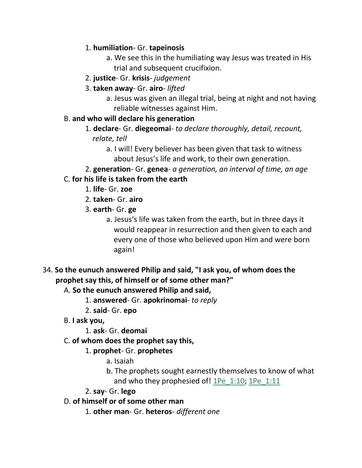#### 1. **humiliation**- Gr. **tapeinosis**

- a. We see this in the humiliating way Jesus was treated in His trial and subsequent crucifixion.
- 2. **justice** Gr. **krisis** *judgement*
- 3. **taken away** Gr. **airo** *lifted*
	- a. Jesus was given an illegal trial, being at night and not having reliable witnesses against Him.

### B. **and who will declare his generation**

- 1. **declare** Gr. **diegeomai** *to declare thoroughly, detail, recount, relate, tell*
	- a. I will! Every believer has been given that task to witness about Jesus's life and work, to their own generation.
- 2. **generation** Gr. **genea** *a generation, an interval of time, an age*

### C. **for his life is taken from the earth**

- 1. **life** Gr. **zoe**
- 2. **taken** Gr. **airo**
- 3. **earth** Gr. **ge**
	- a. Jesus's life was taken from the earth, but in three days it would reappear in resurrection and then given to each and every one of those who believed upon Him and were born again!
- 34. **So the eunuch answered Philip and said, "I ask you, of whom does the prophet say this, of himself or of some other man?"**

### A. **So the eunuch answered Philip and said,**

- 1. **answered** Gr. **apokrinomai** *to reply*
- 2. **said** Gr. **epo**
- B. **I ask you,**

1. **ask**- Gr. **deomai**

- C. **of whom does the prophet say this,**
	- 1. **prophet** Gr. **prophetes**
		- a. Isaiah
		- b. The prophets sought earnestly themselves to know of what and who they prophesied of!  $1Pe$   $1:10$ ;  $1Pe$   $1:11$
	- 2. **say** Gr. **lego**
- D. **of himself or of some other man**
	- 1. **other man** Gr. **heteros** *different one*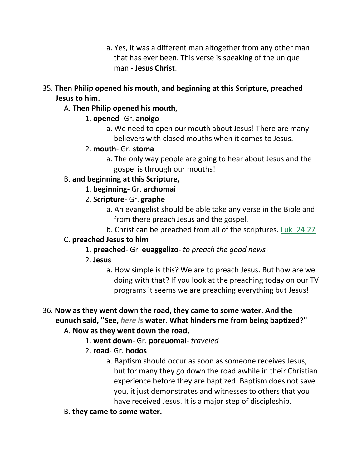- a. Yes, it was a different man altogether from any other man that has ever been. This verse is speaking of the unique man - **Jesus Christ**.
- 35. **Then Philip opened his mouth, and beginning at this Scripture, preached Jesus to him.**

#### A. **Then Philip opened his mouth,**

### 1. **opened**- Gr. **anoigo**

a. We need to open our mouth about Jesus! There are many believers with closed mouths when it comes to Jesus.

#### 2. **mouth**- Gr. **stoma**

a. The only way people are going to hear about Jesus and the gospel is through our mouths!

### B. **and beginning at this Scripture,**

1. **beginning**- Gr. **archomai**

### 2. **Scripture**- Gr. **graphe**

- a. An evangelist should be able take any verse in the Bible and from there preach Jesus and the gospel.
- b. Christ can be preached from all of the scriptures. Luk\_24:27

### C. **preached Jesus to him**

- 1. **preached** Gr. **euaggelizo** *to preach the good news*
- 2. **Jesus**
	- a. How simple is this? We are to preach Jesus. But how are we doing with that? If you look at the preaching today on our TV programs it seems we are preaching everything but Jesus!

# 36. **Now as they went down the road, they came to some water. And the**

## **eunuch said, "See,** *here is* **water. What hinders me from being baptized?"**

### A. **Now as they went down the road,**

- 1. **went down** Gr. **poreuomai** *traveled*
- 2. **road** Gr. **hodos**
	- a. Baptism should occur as soon as someone receives Jesus, but for many they go down the road awhile in their Christian experience before they are baptized. Baptism does not save you, it just demonstrates and witnesses to others that you have received Jesus. It is a major step of discipleship.
- B. **they came to some water.**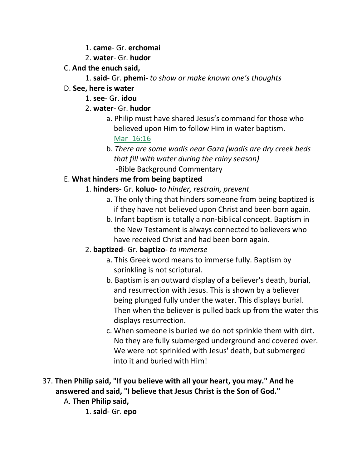- 1. **came** Gr. **erchomai**
- 2. **water** Gr. **hudor**
- C. **And the enuch said,**
	- 1. **said** Gr. **phemi** *to show or make known one's thoughts*
- D. **See, here is water**
	- 1. **see** Gr. **idou**
	- 2. **water** Gr. **hudor**
		- a. Philip must have shared Jesus's command for those who believed upon Him to follow Him in water baptism.

Mar\_16:16

b. *There are some wadis near Gaza (wadis are dry creek beds that fill with water during the rainy season)* -Bible Background Commentary

## E. **What hinders me from being baptized**

- 1. **hinders** Gr. **koluo** *to hinder, restrain, prevent*
	- a. The only thing that hinders someone from being baptized is if they have not believed upon Christ and been born again.
	- b. Infant baptism is totally a non-biblical concept. Baptism in the New Testament is always connected to believers who have received Christ and had been born again.

## 2. **baptized**- Gr. **baptizo**- *to immerse*

- a. This Greek word means to immerse fully. Baptism by sprinkling is not scriptural.
- b. Baptism is an outward display of a believer's death, burial, and resurrection with Jesus. This is shown by a believer being plunged fully under the water. This displays burial. Then when the believer is pulled back up from the water this displays resurrection.
- c. When someone is buried we do not sprinkle them with dirt. No they are fully submerged underground and covered over. We were not sprinkled with Jesus' death, but submerged into it and buried with Him!
- 37. **Then Philip said, "If you believe with all your heart, you may." And he answered and said, "I believe that Jesus Christ is the Son of God."** 
	- A. **Then Philip said,**
		- 1. **said** Gr. **epo**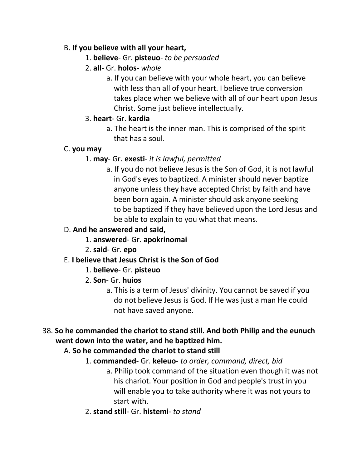#### B. **If you believe with all your heart,**

- 1. **believe** Gr. **pisteuo** *to be persuaded*
- 2. **all** Gr. **holos** *whole*
	- a. If you can believe with your whole heart, you can believe with less than all of your heart. I believe true conversion takes place when we believe with all of our heart upon Jesus Christ. Some just believe intellectually.

### 3. **heart**- Gr. **kardia**

a. The heart is the inner man. This is comprised of the spirit that has a soul.

#### C. **you may**

### 1. **may**- Gr. **exesti**- *it is lawful, permitted*

a. If you do not believe Jesus is the Son of God, it is not lawful in God's eyes to baptized. A minister should never baptize anyone unless they have accepted Christ by faith and have been born again. A minister should ask anyone seeking to be baptized if they have believed upon the Lord Jesus and be able to explain to you what that means.

### D. **And he answered and said,**

- 1. **answered** Gr. **apokrinomai**
- 2. **said** Gr. **epo**

### E. **I believe that Jesus Christ is the Son of God**

- 1. **believe** Gr. **pisteuo**
- 2. **Son** Gr. **huios**
	- a. This is a term of Jesus' divinity. You cannot be saved if you do not believe Jesus is God. If He was just a man He could not have saved anyone.

## 38. **So he commanded the chariot to stand still. And both Philip and the eunuch went down into the water, and he baptized him.**

## A. **So he commanded the chariot to stand still**

- 1. **commanded** Gr. **keleuo** *to order, command, direct, bid*
	- a. Philip took command of the situation even though it was not his chariot. Your position in God and people's trust in you will enable you to take authority where it was not yours to start with.
- 2. **stand still** Gr. **histemi** *to stand*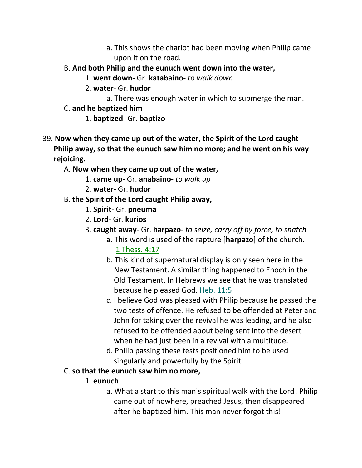- a. This shows the chariot had been moving when Philip came upon it on the road.
- B. **And both Philip and the eunuch went down into the water,**
	- 1. **went down** Gr. **katabaino** *to walk down*
	- 2. **water** Gr. **hudor**
		- a. There was enough water in which to submerge the man.
- C. **and he baptized him**
	- 1. **baptized** Gr. **baptizo**
- 39. **Now when they came up out of the water, the Spirit of the Lord caught Philip away, so that the eunuch saw him no more; and he went on his way rejoicing.** 
	- A. **Now when they came up out of the water,**
		- 1. **came up** Gr. **anabaino** *to walk up*
		- 2. **water** Gr. **hudor**
	- B. **the Spirit of the Lord caught Philip away,**
		- 1. **Spirit** Gr. **pneuma**
		- 2. **Lord** Gr. **kurios**
		- 3. **caught away** Gr. **harpazo** *to seize, carry off by force, to snatch*
			- a. This word is used of the rapture [**harpazo**] of the church. 1 Thess. 4:17
			- b. This kind of supernatural display is only seen here in the New Testament. A similar thing happened to Enoch in the Old Testament. In Hebrews we see that he was translated because he pleased God. Heb. 11:5
			- c. I believe God was pleased with Philip because he passed the two tests of offence. He refused to be offended at Peter and John for taking over the revival he was leading, and he also refused to be offended about being sent into the desert when he had just been in a revival with a multitude.
			- d. Philip passing these tests positioned him to be used singularly and powerfully by the Spirit.
	- C. **so that the eunuch saw him no more,**
		- 1. **eunuch**
			- a. What a start to this man's spiritual walk with the Lord! Philip came out of nowhere, preached Jesus, then disappeared after he baptized him. This man never forgot this!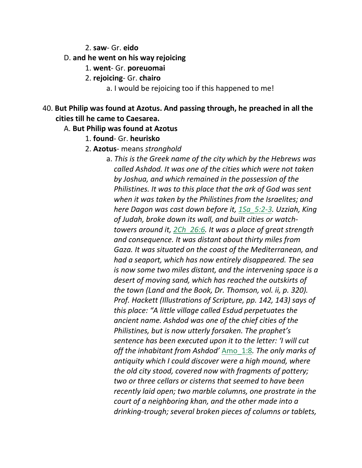2. **saw**- Gr. **eido**

#### D. **and he went on his way rejoicing**

- 1. **went** Gr. **poreuomai**
- 2. **rejoicing** Gr. **chairo**
	- a. I would be rejoicing too if this happened to me!

### 40. **But Philip was found at Azotus. And passing through, he preached in all the cities till he came to Caesarea.**

#### A. **But Philip was found at Azotus**

- 1. **found** Gr. **heurisko**
- 2. **Azotus** means *stronghold*
	- a. *This is the Greek name of the city which by the Hebrews was called Ashdod. It was one of the cities which were not taken by Joshua, and which remained in the possession of the Philistines. It was to this place that the ark of God was sent when it was taken by the Philistines from the Israelites; and here Dagon was cast down before it, 1Sa\_5:2-3. Uzziah, King of Judah, broke down its wall, and built cities or watch towers around it, 2Ch\_26:6. It was a place of great strength and consequence. It was distant about thirty miles from Gaza. It was situated on the coast of the Mediterranean, and had a seaport, which has now entirely disappeared. The sea is now some two miles distant, and the intervening space is a desert of moving sand, which has reached the outskirts of the town (Land and the Book, Dr. Thomson, vol. ii, p. 320). Prof. Hackett (Illustrations of Scripture, pp. 142, 143) says of this place: "A little village called Esdud perpetuates the ancient name. Ashdod was one of the chief cities of the Philistines, but is now utterly forsaken. The prophet's sentence has been executed upon it to the letter: 'I will cut off the inhabitant from Ashdod'* Amo\_1:8*. The only marks of antiquity which I could discover were a high mound, where the old city stood, covered now with fragments of pottery; two or three cellars or cisterns that seemed to have been recently laid open; two marble columns, one prostrate in the court of a neighboring khan, and the other made into a drinking-trough; several broken pieces of columns or tablets,*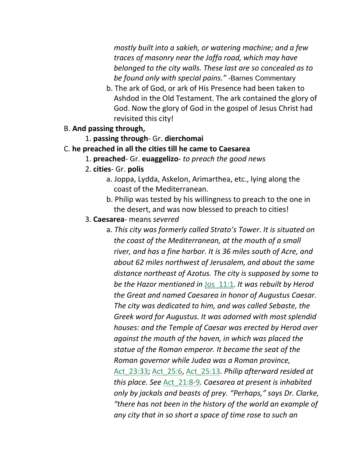*mostly built into a sakieh, or watering machine; and a few traces of masonry near the Jaffa road, which may have belonged to the city walls. These last are so concealed as to be found only with special pains."* -Barnes Commentary

- b. The ark of God, or ark of His Presence had been taken to Ashdod in the Old Testament. The ark contained the glory of God. Now the glory of God in the gospel of Jesus Christ had revisited this city!
- B. **And passing through,**
	- 1. **passing through** Gr. **dierchomai**
- C. **he preached in all the cities till he came to Caesarea**
	- 1. **preached** Gr. **euaggelizo** *to preach the good news*
	- 2. **cities** Gr. **polis**
		- a. Joppa, Lydda, Askelon, Arimarthea, etc., lying along the coast of the Mediterranean.
		- b. Philip was tested by his willingness to preach to the one in the desert, and was now blessed to preach to cities!
	- 3. **Caesarea** means *severed*
		- a. *This city was formerly called Strato's Tower. It is situated on the coast of the Mediterranean, at the mouth of a small river, and has a fine harbor. It is 36 miles south of Acre, and about 62 miles northwest of Jerusalem, and about the same distance northeast of Azotus. The city is supposed by some to be the Hazor mentioned in* Jos\_11:1*. It was rebuilt by Herod the Great and named Caesarea in honor of Augustus Caesar. The city was dedicated to him, and was called Sebaste, the Greek word for Augustus. It was adorned with most splendid houses: and the Temple of Caesar was erected by Herod over against the mouth of the haven, in which was placed the statue of the Roman emperor. It became the seat of the Roman governor while Judea was a Roman province,* Act\_23:33; Act\_25:6, Act\_25:13*. Philip afterward resided at this place. See* Act\_21:8-9*. Caesarea at present is inhabited only by jackals and beasts of prey. "Perhaps," says Dr. Clarke, "there has not been in the history of the world an example of any city that in so short a space of time rose to such an*